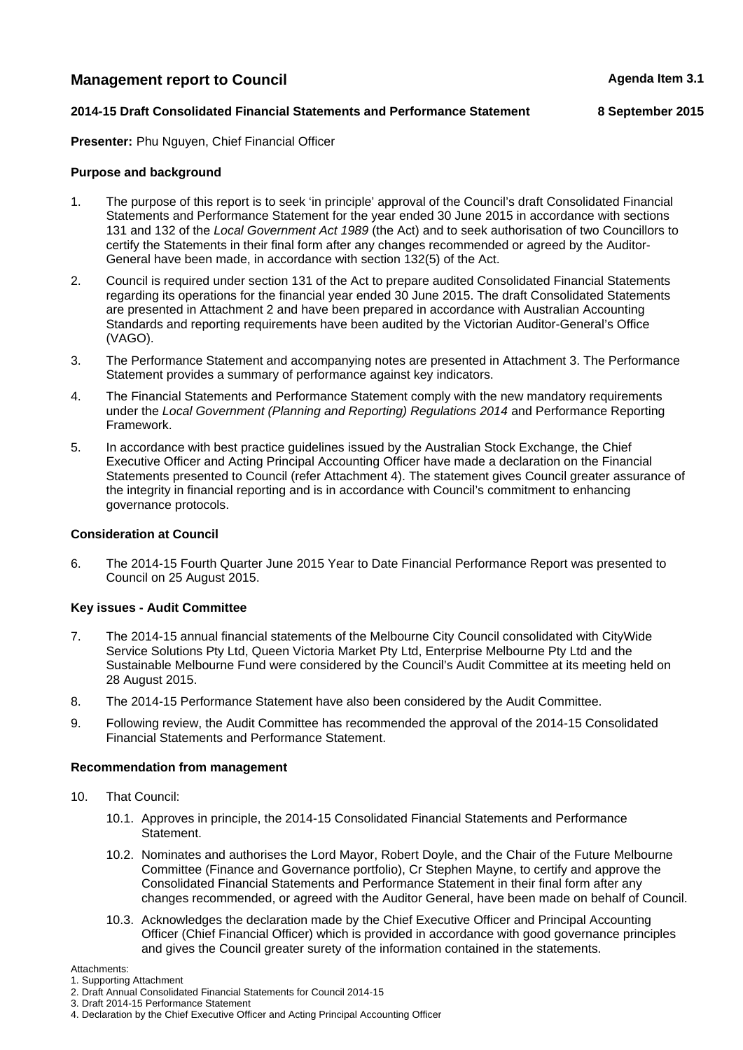# **Management report to Council Agents Agenda Item 3.1 Agenda Item 3.1**

## **2014-15 Draft Consolidated Financial Statements and Performance Statement 8 September 2015**

**Presenter:** Phu Nguyen, Chief Financial Officer

### **Purpose and background**

- 1. The purpose of this report is to seek 'in principle' approval of the Council's draft Consolidated Financial Statements and Performance Statement for the year ended 30 June 2015 in accordance with sections 131 and 132 of the *Local Government Act 1989* (the Act) and to seek authorisation of two Councillors to certify the Statements in their final form after any changes recommended or agreed by the Auditor-General have been made, in accordance with section 132(5) of the Act.
- 2. Council is required under section 131 of the Act to prepare audited Consolidated Financial Statements regarding its operations for the financial year ended 30 June 2015. The draft Consolidated Statements are presented in Attachment 2 and have been prepared in accordance with Australian Accounting Standards and reporting requirements have been audited by the Victorian Auditor-General's Office (VAGO).
- 3. The Performance Statement and accompanying notes are presented in Attachment 3. The Performance Statement provides a summary of performance against key indicators.
- 4. The Financial Statements and Performance Statement comply with the new mandatory requirements under the *Local Government (Planning and Reporting) Regulations 2014* and Performance Reporting Framework.
- 5. In accordance with best practice guidelines issued by the Australian Stock Exchange, the Chief Executive Officer and Acting Principal Accounting Officer have made a declaration on the Financial Statements presented to Council (refer Attachment 4). The statement gives Council greater assurance of the integrity in financial reporting and is in accordance with Council's commitment to enhancing governance protocols.

#### **Consideration at Council**

6. The 2014-15 Fourth Quarter June 2015 Year to Date Financial Performance Report was presented to Council on 25 August 2015.

#### **Key issues - Audit Committee**

- 7. The 2014-15 annual financial statements of the Melbourne City Council consolidated with CityWide Service Solutions Pty Ltd, Queen Victoria Market Pty Ltd, Enterprise Melbourne Pty Ltd and the Sustainable Melbourne Fund were considered by the Council's Audit Committee at its meeting held on 28 August 2015.
- 8. The 2014-15 Performance Statement have also been considered by the Audit Committee.
- 9. Following review, the Audit Committee has recommended the approval of the 2014-15 Consolidated Financial Statements and Performance Statement.

### **Recommendation from management**

- 10. That Council:
	- 10.1. Approves in principle, the 2014-15 Consolidated Financial Statements and Performance Statement.
	- 10.2. Nominates and authorises the Lord Mayor, Robert Doyle, and the Chair of the Future Melbourne Committee (Finance and Governance portfolio), Cr Stephen Mayne, to certify and approve the Consolidated Financial Statements and Performance Statement in their final form after any changes recommended, or agreed with the Auditor General, have been made on behalf of Council.
	- 10.3. Acknowledges the declaration made by the Chief Executive Officer and Principal Accounting Officer (Chief Financial Officer) which is provided in accordance with good governance principles and gives the Council greater surety of the information contained in the statements.

Attachments:

<sup>1.</sup> Supporting Attachment

<sup>2.</sup> Draft Annual Consolidated Financial Statements for Council 2014-15

<sup>3.</sup> Draft 2014-15 Performance Statement

<sup>4.</sup> Declaration by the Chief Executive Officer and Acting Principal Accounting Officer